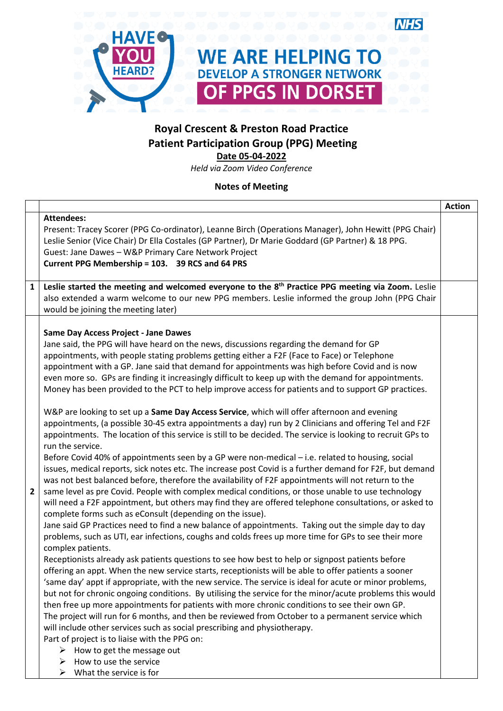

# **Royal Crescent & Preston Road Practice Patient Participation Group (PPG) Meeting Date 05-04-2022**

*Held via Zoom Video Conference*

## **Notes of Meeting**

|   |                                                                                                                                                                                                                                                                                                                                                                                                                                                                                                                                                                                                                                                                                                                                                                                                                                                                                                                                                                                                                                                                                                                                                                                                                                                                                                                                                                                                                                                                                                                                                                                                                                                                                                                                                                                                                                                                                                                                                                                                                                                                                                                                                                                                                                                                                                                                                                                                                                                                                                                                                                                                                                 | <b>Action</b> |
|---|---------------------------------------------------------------------------------------------------------------------------------------------------------------------------------------------------------------------------------------------------------------------------------------------------------------------------------------------------------------------------------------------------------------------------------------------------------------------------------------------------------------------------------------------------------------------------------------------------------------------------------------------------------------------------------------------------------------------------------------------------------------------------------------------------------------------------------------------------------------------------------------------------------------------------------------------------------------------------------------------------------------------------------------------------------------------------------------------------------------------------------------------------------------------------------------------------------------------------------------------------------------------------------------------------------------------------------------------------------------------------------------------------------------------------------------------------------------------------------------------------------------------------------------------------------------------------------------------------------------------------------------------------------------------------------------------------------------------------------------------------------------------------------------------------------------------------------------------------------------------------------------------------------------------------------------------------------------------------------------------------------------------------------------------------------------------------------------------------------------------------------------------------------------------------------------------------------------------------------------------------------------------------------------------------------------------------------------------------------------------------------------------------------------------------------------------------------------------------------------------------------------------------------------------------------------------------------------------------------------------------------|---------------|
|   | <b>Attendees:</b><br>Present: Tracey Scorer (PPG Co-ordinator), Leanne Birch (Operations Manager), John Hewitt (PPG Chair)<br>Leslie Senior (Vice Chair) Dr Ella Costales (GP Partner), Dr Marie Goddard (GP Partner) & 18 PPG.<br>Guest: Jane Dawes - W&P Primary Care Network Project<br>Current PPG Membership = 103. 39 RCS and 64 PRS                                                                                                                                                                                                                                                                                                                                                                                                                                                                                                                                                                                                                                                                                                                                                                                                                                                                                                                                                                                                                                                                                                                                                                                                                                                                                                                                                                                                                                                                                                                                                                                                                                                                                                                                                                                                                                                                                                                                                                                                                                                                                                                                                                                                                                                                                      |               |
| 1 | Leslie started the meeting and welcomed everyone to the 8 <sup>th</sup> Practice PPG meeting via Zoom. Leslie<br>also extended a warm welcome to our new PPG members. Leslie informed the group John (PPG Chair<br>would be joining the meeting later)                                                                                                                                                                                                                                                                                                                                                                                                                                                                                                                                                                                                                                                                                                                                                                                                                                                                                                                                                                                                                                                                                                                                                                                                                                                                                                                                                                                                                                                                                                                                                                                                                                                                                                                                                                                                                                                                                                                                                                                                                                                                                                                                                                                                                                                                                                                                                                          |               |
| 2 | <b>Same Day Access Project - Jane Dawes</b><br>Jane said, the PPG will have heard on the news, discussions regarding the demand for GP<br>appointments, with people stating problems getting either a F2F (Face to Face) or Telephone<br>appointment with a GP. Jane said that demand for appointments was high before Covid and is now<br>even more so. GPs are finding it increasingly difficult to keep up with the demand for appointments.<br>Money has been provided to the PCT to help improve access for patients and to support GP practices.<br>W&P are looking to set up a Same Day Access Service, which will offer afternoon and evening<br>appointments, (a possible 30-45 extra appointments a day) run by 2 Clinicians and offering Tel and F2F<br>appointments. The location of this service is still to be decided. The service is looking to recruit GPs to<br>run the service.<br>Before Covid 40% of appointments seen by a GP were non-medical - i.e. related to housing, social<br>issues, medical reports, sick notes etc. The increase post Covid is a further demand for F2F, but demand<br>was not best balanced before, therefore the availability of F2F appointments will not return to the<br>same level as pre Covid. People with complex medical conditions, or those unable to use technology<br>will need a F2F appointment, but others may find they are offered telephone consultations, or asked to<br>complete forms such as eConsult (depending on the issue).<br>Jane said GP Practices need to find a new balance of appointments. Taking out the simple day to day<br>problems, such as UTI, ear infections, coughs and colds frees up more time for GPs to see their more<br>complex patients.<br>Receptionists already ask patients questions to see how best to help or signpost patients before<br>offering an appt. When the new service starts, receptionists will be able to offer patients a sooner<br>'same day' appt if appropriate, with the new service. The service is ideal for acute or minor problems,<br>but not for chronic ongoing conditions. By utilising the service for the minor/acute problems this would<br>then free up more appointments for patients with more chronic conditions to see their own GP.<br>The project will run for 6 months, and then be reviewed from October to a permanent service which<br>will include other services such as social prescribing and physiotherapy.<br>Part of project is to liaise with the PPG on:<br>$\triangleright$ How to get the message out<br>How to use the service<br>➤<br>What the service is for<br>➤ |               |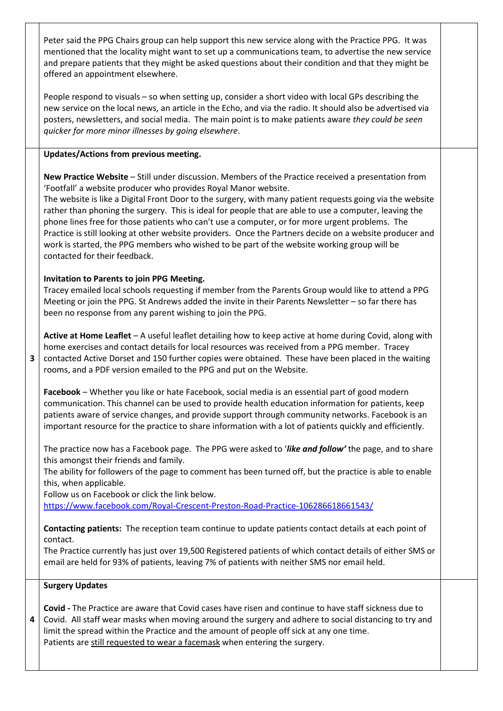Peter said the PPG Chairs group can help support this new service along with the Practice PPG. It was mentioned that the locality might want to set up a communications team, to advertise the new service and prepare patients that they might be asked questions about their condition and that they might be offered an appointment elsewhere.

People respond to visuals – so when setting up, consider a short video with local GPs describing the new service on the local news, an article in the Echo, and via the radio. It should also be advertised via posters, newsletters, and social media. The main point is to make patients aware *they could be seen quicker for more minor illnesses by going elsewhere*.

### **Updates/Actions from previous meeting.**

**New Practice Website** – Still under discussion. Members of the Practice received a presentation from 'Footfall' a website producer who provides Royal Manor website.

The website is like a Digital Front Door to the surgery, with many patient requests going via the website rather than phoning the surgery. This is ideal for people that are able to use a computer, leaving the phone lines free for those patients who can't use a computer, or for more urgent problems. The Practice is still looking at other website providers. Once the Partners decide on a website producer and work is started, the PPG members who wished to be part of the website working group will be contacted for their feedback.

#### **Invitation to Parents to join PPG Meeting.**

Tracey emailed local schools requesting if member from the Parents Group would like to attend a PPG Meeting or join the PPG. St Andrews added the invite in their Parents Newsletter – so far there has been no response from any parent wishing to join the PPG.

**Active at Home Leaflet** – A useful leaflet detailing how to keep active at home during Covid, along with home exercises and contact details for local resources was received from a PPG member. Tracey contacted Active Dorset and 150 further copies were obtained. These have been placed in the waiting rooms, and a PDF version emailed to the PPG and put on the Website.

**Facebook** – Whether you like or hate Facebook, social media is an essential part of good modern communication. This channel can be used to provide health education information for patients, keep patients aware of service changes, and provide support through community networks. Facebook is an important resource for the practice to share information with a lot of patients quickly and efficiently.

The practice now has a Facebook page. The PPG were asked to '*like and follow'* the page, and to share this amongst their friends and family.

The ability for followers of the page to comment has been turned off, but the practice is able to enable this, when applicable.

Follow us on Facebook or click the link below.

<https://www.facebook.com/Royal-Crescent-Preston-Road-Practice-106286618661543/>

**Contacting patients:** The reception team continue to update patients contact details at each point of contact.

The Practice currently has just over 19,500 Registered patients of which contact details of either SMS or email are held for 93% of patients, leaving 7% of patients with neither SMS nor email held.

#### **Surgery Updates**

**3**

**4 Covid -** The Practice are aware that Covid cases have risen and continue to have staff sickness due to Covid. All staff wear masks when moving around the surgery and adhere to social distancing to try and limit the spread within the Practice and the amount of people off sick at any one time. Patients are still requested to wear a facemask when entering the surgery.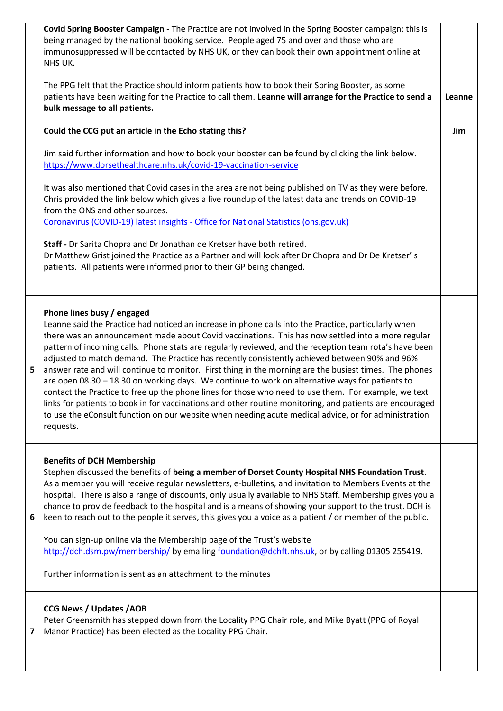|   | Covid Spring Booster Campaign - The Practice are not involved in the Spring Booster campaign; this is<br>being managed by the national booking service. People aged 75 and over and those who are<br>immunosuppressed will be contacted by NHS UK, or they can book their own appointment online at<br>NHS UK.                                                                                                                                                                                                                                                                                                                                                                                                                                                                                                                                                                                                                                                                                           |        |
|---|----------------------------------------------------------------------------------------------------------------------------------------------------------------------------------------------------------------------------------------------------------------------------------------------------------------------------------------------------------------------------------------------------------------------------------------------------------------------------------------------------------------------------------------------------------------------------------------------------------------------------------------------------------------------------------------------------------------------------------------------------------------------------------------------------------------------------------------------------------------------------------------------------------------------------------------------------------------------------------------------------------|--------|
|   | The PPG felt that the Practice should inform patients how to book their Spring Booster, as some<br>patients have been waiting for the Practice to call them. Leanne will arrange for the Practice to send a<br>bulk message to all patients.                                                                                                                                                                                                                                                                                                                                                                                                                                                                                                                                                                                                                                                                                                                                                             | Leanne |
|   | Could the CCG put an article in the Echo stating this?                                                                                                                                                                                                                                                                                                                                                                                                                                                                                                                                                                                                                                                                                                                                                                                                                                                                                                                                                   | Jim    |
|   | Jim said further information and how to book your booster can be found by clicking the link below.<br>https://www.dorsethealthcare.nhs.uk/covid-19-vaccination-service                                                                                                                                                                                                                                                                                                                                                                                                                                                                                                                                                                                                                                                                                                                                                                                                                                   |        |
|   | It was also mentioned that Covid cases in the area are not being published on TV as they were before.<br>Chris provided the link below which gives a live roundup of the latest data and trends on COVID-19<br>from the ONS and other sources.                                                                                                                                                                                                                                                                                                                                                                                                                                                                                                                                                                                                                                                                                                                                                           |        |
|   | Coronavirus (COVID-19) latest insights - Office for National Statistics (ons.gov.uk)                                                                                                                                                                                                                                                                                                                                                                                                                                                                                                                                                                                                                                                                                                                                                                                                                                                                                                                     |        |
|   | Staff - Dr Sarita Chopra and Dr Jonathan de Kretser have both retired.<br>Dr Matthew Grist joined the Practice as a Partner and will look after Dr Chopra and Dr De Kretser's<br>patients. All patients were informed prior to their GP being changed.                                                                                                                                                                                                                                                                                                                                                                                                                                                                                                                                                                                                                                                                                                                                                   |        |
| 5 | Phone lines busy / engaged<br>Leanne said the Practice had noticed an increase in phone calls into the Practice, particularly when<br>there was an announcement made about Covid vaccinations. This has now settled into a more regular<br>pattern of incoming calls. Phone stats are regularly reviewed, and the reception team rota's have been<br>adjusted to match demand. The Practice has recently consistently achieved between 90% and 96%<br>answer rate and will continue to monitor. First thing in the morning are the busiest times. The phones<br>are open 08.30 - 18.30 on working days. We continue to work on alternative ways for patients to<br>contact the Practice to free up the phone lines for those who need to use them. For example, we text<br>links for patients to book in for vaccinations and other routine monitoring, and patients are encouraged<br>to use the eConsult function on our website when needing acute medical advice, or for administration<br>requests. |        |
| 6 | <b>Benefits of DCH Membership</b><br>Stephen discussed the benefits of being a member of Dorset County Hospital NHS Foundation Trust.<br>As a member you will receive regular newsletters, e-bulletins, and invitation to Members Events at the<br>hospital. There is also a range of discounts, only usually available to NHS Staff. Membership gives you a<br>chance to provide feedback to the hospital and is a means of showing your support to the trust. DCH is<br>keen to reach out to the people it serves, this gives you a voice as a patient / or member of the public.<br>You can sign-up online via the Membership page of the Trust's website<br>http://dch.dsm.pw/membership/ by emailing foundation@dchft.nhs.uk, or by calling 01305 255419.<br>Further information is sent as an attachment to the minutes                                                                                                                                                                            |        |
| 7 | <b>CCG News / Updates /AOB</b><br>Peter Greensmith has stepped down from the Locality PPG Chair role, and Mike Byatt (PPG of Royal<br>Manor Practice) has been elected as the Locality PPG Chair.                                                                                                                                                                                                                                                                                                                                                                                                                                                                                                                                                                                                                                                                                                                                                                                                        |        |